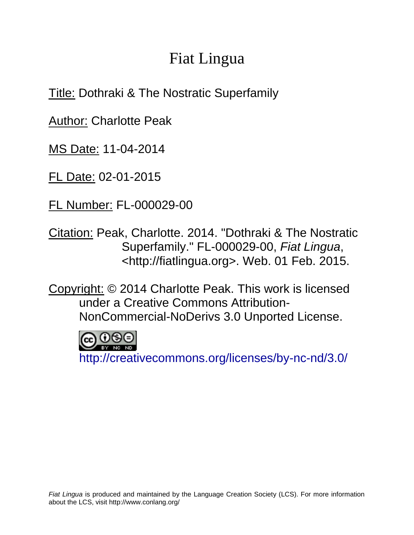## Fiat Lingua

Title: Dothraki & The Nostratic Superfamily

Author: Charlotte Peak

MS Date: 11-04-2014

FL Date: 02-01-2015

FL Number: FL-000029-00

Citation: Peak, Charlotte. 2014. "Dothraki & The Nostratic Superfamily." FL-000029-00, *Fiat Lingua*, <http://fiatlingua.org>. Web. 01 Feb. 2015.

Copyright: © 2014 Charlotte Peak. This work is licensed under a Creative Commons Attribution-NonCommercial-NoDerivs 3.0 Unported License.

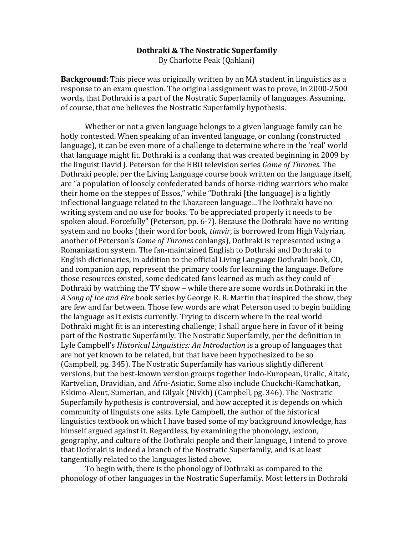## **Dothraki & The Nostratic Superfamily** By Charlotte Peak (Qahlani)

**Background:** This piece was originally written by an MA student in linguistics as a response to an exam question. The original assignment was to prove, in 2000-2500 words, that Dothraki is a part of the Nostratic Superfamily of languages. Assuming, of course, that one believes the Nostratic Superfamily hypothesis.

Whether or not a given language belongs to a given language family can be hotly contested. When speaking of an invented language, or conlang (constructed language), it can be even more of a challenge to determine where in the 'real' world that language might fit. Dothraki is a conlang that was created beginning in 2009 by the linguist David J. Peterson for the HBO television series *Game of Thrones*. The Dothraki people, per the Living Language course book written on the language itself, are "a population of loosely confederated bands of horse-riding warriors who make their home on the steppes of Essos," while "Dothraki [the language] is a lightly inflectional language related to the Lhazareen language…The Dothraki have no writing system and no use for books. To be appreciated properly it needs to be spoken aloud. Forcefully" (Peterson, pp. 6-7). Because the Dothraki have no writing system and no books (their word for book, *timvir*, is borrowed from High Valyrian, another of Peterson's *Game of Thrones* conlangs), Dothraki is represented using a Romanization system. The fan-maintained English to Dothraki and Dothraki to English dictionaries, in addition to the official Living Language Dothraki book, CD, and companion app, represent the primary tools for learning the language. Before those resources existed, some dedicated fans learned as much as they could of Dothraki by watching the TV show – while there are some words in Dothraki in the A Song of Ice and Fire book series by George R. R. Martin that inspired the show, they are few and far between. Those few words are what Peterson used to begin building the language as it exists currently. Trying to discern where in the real world Dothraki might fit is an interesting challenge; I shall argue here in favor of it being part of the Nostratic Superfamily. The Nostratic Superfamily, per the definition in Lyle Campbell's *Historical Linguistics: An Introduction* is a group of languages that are not yet known to be related, but that have been hypothesized to be so (Campbell, pg. 345). The Nostratic Superfamily has various slightly different versions, but the best-known version groups together Indo-European, Uralic, Altaic, Kartvelian, Dravidian, and Afro-Asiatic. Some also include Chuckchi-Kamchatkan, Eskimo-Aleut, Sumerian, and Gilyak (Nivkh) (Campbell, pg. 346). The Nostratic Superfamily hypothesis is controversial, and how accepted it is depends on which community of linguists one asks. Lyle Campbell, the author of the historical linguistics textbook on which I have based some of my background knowledge, has himself argued against it. Regardless, by examining the phonology, lexicon, geography, and culture of the Dothraki people and their language, I intend to prove that Dothraki is indeed a branch of the Nostratic Superfamily, and is at least tangentially related to the languages listed above.

To begin with, there is the phonology of Dothraki as compared to the phonology of other languages in the Nostratic Superfamily. Most letters in Dothraki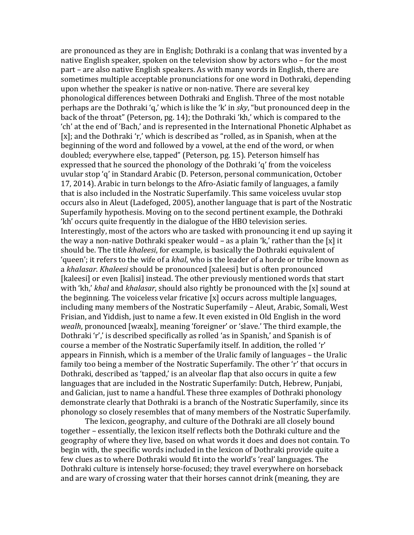are pronounced as they are in English; Dothraki is a conlang that was invented by a native English speaker, spoken on the television show by actors who – for the most part – are also native English speakers. As with many words in English, there are sometimes multiple acceptable pronunciations for one word in Dothraki, depending upon whether the speaker is native or non-native. There are several key phonological differences between Dothraki and English. Three of the most notable perhaps are the Dothraki 'q,' which is like the 'k' in *sky*, "but pronounced deep in the back of the throat" (Peterson, pg. 14); the Dothraki 'kh,' which is compared to the 'ch' at the end of 'Bach,' and is represented in the International Phonetic Alphabet as [x]; and the Dothraki 'r,' which is described as "rolled, as in Spanish, when at the beginning of the word and followed by a vowel, at the end of the word, or when doubled; everywhere else, tapped" (Peterson, pg. 15). Peterson himself has expressed that he sourced the phonology of the Dothraki 'q' from the voiceless uvular stop 'q' in Standard Arabic (D. Peterson, personal communication, October 17, 2014). Arabic in turn belongs to the Afro-Asiatic family of languages, a family that is also included in the Nostratic Superfamily. This same voiceless uvular stop occurs also in Aleut (Ladefoged, 2005), another language that is part of the Nostratic Superfamily hypothesis. Moving on to the second pertinent example, the Dothraki 'kh' occurs quite frequently in the dialogue of the HBO television series. Interestingly, most of the actors who are tasked with pronouncing it end up saying it the way a non-native Dothraki speaker would – as a plain 'k,' rather than the [x] it should be. The title *khaleesi*, for example, is basically the Dothraki equivalent of 'queen'; it refers to the wife of a *khal*, who is the leader of a horde or tribe known as a *khalasar. Khaleesi* should be pronounced [xaleesi] but is often pronounced [kaleesi] or even [kalisi] instead. The other previously mentioned words that start with 'kh,' *khal* and *khalasar*, should also rightly be pronounced with the [x] sound at the beginning. The voiceless velar fricative  $[x]$  occurs across multiple languages, including many members of the Nostratic Superfamily – Aleut, Arabic, Somali, West Frisian, and Yiddish, just to name a few. It even existed in Old English in the word *wealh*, pronounced [wæalx], meaning 'foreigner' or 'slave.' The third example, the Dothraki 'r',' is described specifically as rolled 'as in Spanish,' and Spanish is of course a member of the Nostratic Superfamily itself. In addition, the rolled 'r' appears in Finnish, which is a member of the Uralic family of languages – the Uralic family too being a member of the Nostratic Superfamily. The other 'r' that occurs in Dothraki, described as 'tapped,' is an alveolar flap that also occurs in quite a few languages that are included in the Nostratic Superfamily: Dutch, Hebrew, Punjabi, and Galician, just to name a handful. These three examples of Dothraki phonology demonstrate clearly that Dothraki is a branch of the Nostratic Superfamily, since its phonology so closely resembles that of many members of the Nostratic Superfamily.

The lexicon, geography, and culture of the Dothraki are all closely bound together – essentially, the lexicon itself reflects both the Dothraki culture and the geography of where they live, based on what words it does and does not contain. To begin with, the specific words included in the lexicon of Dothraki provide quite a few clues as to where Dothraki would fit into the world's 'real' languages. The Dothraki culture is intensely horse-focused; they travel everywhere on horseback and are wary of crossing water that their horses cannot drink (meaning, they are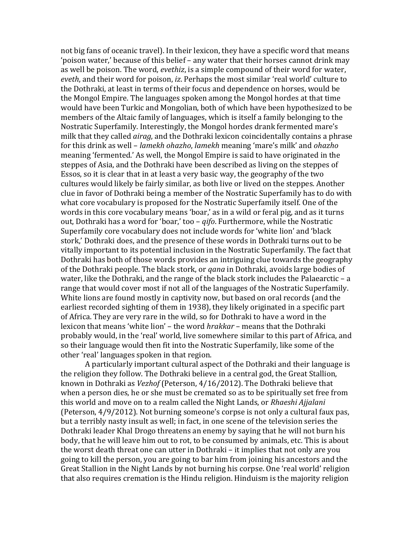not big fans of oceanic travel). In their lexicon, they have a specific word that means 'poison water,' because of this belief – any water that their horses cannot drink may as well be poison. The word, *evethiz*, is a simple compound of their word for water, *eveth*, and their word for poison, *iz*. Perhaps the most similar 'real world' culture to the Dothraki, at least in terms of their focus and dependence on horses, would be the Mongol Empire. The languages spoken among the Mongol hordes at that time would have been Turkic and Mongolian, both of which have been hypothesized to be members of the Altaic family of languages, which is itself a family belonging to the Nostratic Superfamily. Interestingly, the Mongol hordes drank fermented mare's milk that they called *airag*, and the Dothraki lexicon coincidentally contains a phrase for#this#drink#as#well#– *lamekh%ohazho*,#*lamekh*#meaning#'mare's#milk'#and#*ohazho* meaning 'fermented.' As well, the Mongol Empire is said to have originated in the steppes of Asia, and the Dothraki have been described as living on the steppes of Essos, so it is clear that in at least a very basic way, the geography of the two cultures would likely be fairly similar, as both live or lived on the steppes. Another clue in favor of Dothraki being a member of the Nostratic Superfamily has to do with what core vocabulary is proposed for the Nostratic Superfamily itself. One of the words in this core vocabulary means 'boar,' as in a wild or feral pig, and as it turns out, Dothraki has a word for 'boar,' too – *qifo*. Furthermore, while the Nostratic Superfamily core vocabulary does not include words for 'white lion' and 'black stork,' Dothraki does, and the presence of these words in Dothraki turns out to be vitally important to its potential inclusion in the Nostratic Superfamily. The fact that Dothraki has both of those words provides an intriguing clue towards the geography of the Dothraki people. The black stork, or *qana* in Dothraki, avoids large bodies of water, like the Dothraki, and the range of the black stork includes the Palaearctic – a range that would cover most if not all of the languages of the Nostratic Superfamily. White lions are found mostly in captivity now, but based on oral records (and the earliest recorded sighting of them in 1938), they likely originated in a specific part of Africa. They are very rare in the wild, so for Dothraki to have a word in the lexicon that means 'white lion' – the word *hrakkar* – means that the Dothraki probably would, in the 'real' world, live somewhere similar to this part of Africa, and so their language would then fit into the Nostratic Superfamily, like some of the other 'real' languages spoken in that region.

A particularly important cultural aspect of the Dothraki and their language is the religion they follow. The Dothraki believe in a central god, the Great Stallion, known in Dothraki as *Vezhof* (Peterson, 4/16/2012). The Dothraki believe that when a person dies, he or she must be cremated so as to be spiritually set free from this world and move on to a realm called the Night Lands, or *Rhaeshi Ajjalani* (Peterson,  $4/9/2012$ ). Not burning someone's corpse is not only a cultural faux pas, but a terribly nasty insult as well; in fact, in one scene of the television series the Dothraki leader Khal Drogo threatens an enemy by saying that he will not burn his body, that he will leave him out to rot, to be consumed by animals, etc. This is about the worst death threat one can utter in Dothraki – it implies that not only are you going to kill the person, you are going to bar him from joining his ancestors and the Great Stallion in the Night Lands by not burning his corpse. One 'real world' religion that also requires cremation is the Hindu religion. Hinduism is the majority religion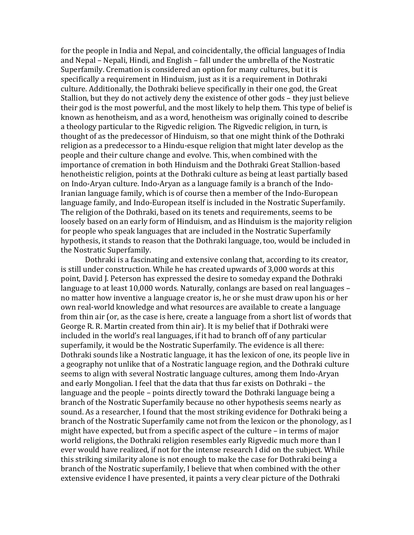for the people in India and Nepal, and coincidentally, the official languages of India and Nepal – Nepali, Hindi, and English – fall under the umbrella of the Nostratic Superfamily. Cremation is considered an option for many cultures, but it is specifically a requirement in Hinduism, just as it is a requirement in Dothraki culture. Additionally, the Dothraki believe specifically in their one god, the Great Stallion, but they do not actively deny the existence of other gods – they just believe their god is the most powerful, and the most likely to help them. This type of belief is known as henotheism, and as a word, henotheism was originally coined to describe a theology particular to the Rigvedic religion. The Rigvedic religion, in turn, is thought of as the predecessor of Hinduism, so that one might think of the Dothraki religion as a predecessor to a Hindu-esque religion that might later develop as the people and their culture change and evolve. This, when combined with the importance of cremation in both Hinduism and the Dothraki Great Stallion-based henotheistic religion, points at the Dothraki culture as being at least partially based on Indo-Aryan culture. Indo-Aryan as a language family is a branch of the Indo-Iranian language family, which is of course then a member of the Indo-European language family, and Indo-European itself is included in the Nostratic Superfamily. The religion of the Dothraki, based on its tenets and requirements, seems to be loosely based on an early form of Hinduism, and as Hinduism is the majority religion for people who speak languages that are included in the Nostratic Superfamily hypothesis, it stands to reason that the Dothraki language, too, would be included in the Nostratic Superfamily.

Dothraki is a fascinating and extensive conlang that, according to its creator, is still under construction. While he has created upwards of 3,000 words at this point, David J. Peterson has expressed the desire to someday expand the Dothraki language to at least 10,000 words. Naturally, conlangs are based on real languages – no matter how inventive a language creator is, he or she must draw upon his or her own real-world knowledge and what resources are available to create a language from thin air (or, as the case is here, create a language from a short list of words that George R. R. Martin created from thin air). It is my belief that if Dothraki were included in the world's real languages, if it had to branch off of any particular superfamily, it would be the Nostratic Superfamily. The evidence is all there: Dothraki sounds like a Nostratic language, it has the lexicon of one, its people live in a geography not unlike that of a Nostratic language region, and the Dothraki culture seems to align with several Nostratic language cultures, among them Indo-Aryan and early Mongolian. I feel that the data that thus far exists on Dothraki – the language and the people – points directly toward the Dothraki language being a branch of the Nostratic Superfamily because no other hypothesis seems nearly as sound. As a researcher, I found that the most striking evidence for Dothraki being a branch of the Nostratic Superfamily came not from the lexicon or the phonology, as I might have expected, but from a specific aspect of the culture – in terms of major world religions, the Dothraki religion resembles early Rigvedic much more than I ever would have realized, if not for the intense research I did on the subject. While this striking similarity alone is not enough to make the case for Dothraki being a branch of the Nostratic superfamily, I believe that when combined with the other extensive evidence I have presented, it paints a very clear picture of the Dothraki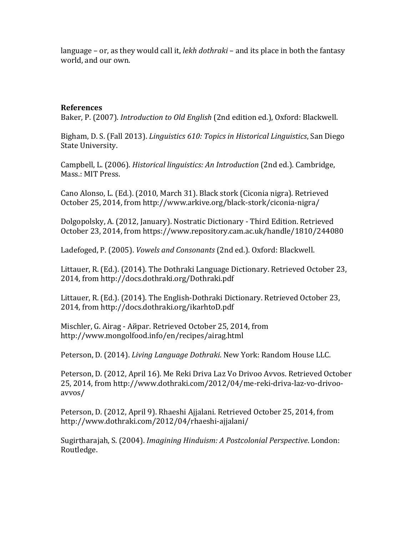language – or, as they would call it, *lekh dothraki* – and its place in both the fantasy world, and our own.

## **References**

Baker, P. (2007). *Introduction to Old English* (2nd edition ed.), Oxford: Blackwell.

Bigham, D. S. (Fall 2013). *Linguistics 610: Topics in Historical Linguistics*, San Diego State University.

Campbell, L. (2006). *Historical linguistics: An Introduction* (2nd ed.). Cambridge, Mass.: MIT Press.

Cano Alonso, L. (Ed.). (2010, March 31). Black stork (Ciconia nigra). Retrieved October 25, 2014, from http://www.arkive.org/black-stork/ciconia-nigra/

Dolgopolsky, A. (2012, January). Nostratic Dictionary - Third Edition. Retrieved October 23, 2014, from https://www.repository.cam.ac.uk/handle/1810/244080

Ladefoged, P. (2005). *Vowels and Consonants* (2nd ed.). Oxford: Blackwell.

Littauer, R. (Ed.). (2014). The Dothraki Language Dictionary. Retrieved October 23, 2014, from http://docs.dothraki.org/Dothraki.pdf

Littauer, R. (Ed.). (2014). The English-Dothraki Dictionary. Retrieved October 23, 2014, from http://docs.dothraki.org/ikarhtoD.pdf

Mischler, G. Airag - Айраг. Retrieved October 25, 2014, from http://www.mongolfood.info/en/recipes/airag.html

Peterson, D. (2014). *Living Language Dothraki*. New York: Random House LLC.

Peterson, D. (2012, April 16). Me Reki Driva Laz Vo Drivoo Avvos. Retrieved October 25, 2014, from http://www.dothraki.com/2012/04/me-reki-driva-laz-vo-drivooavvos/

Peterson, D. (2012, April 9). Rhaeshi Ajjalani. Retrieved October 25, 2014, from http://www.dothraki.com/2012/04/rhaeshi-ajjalani/

Sugirtharajah, S. (2004). *Imagining Hinduism: A Postcolonial Perspective*. London: Routledge.